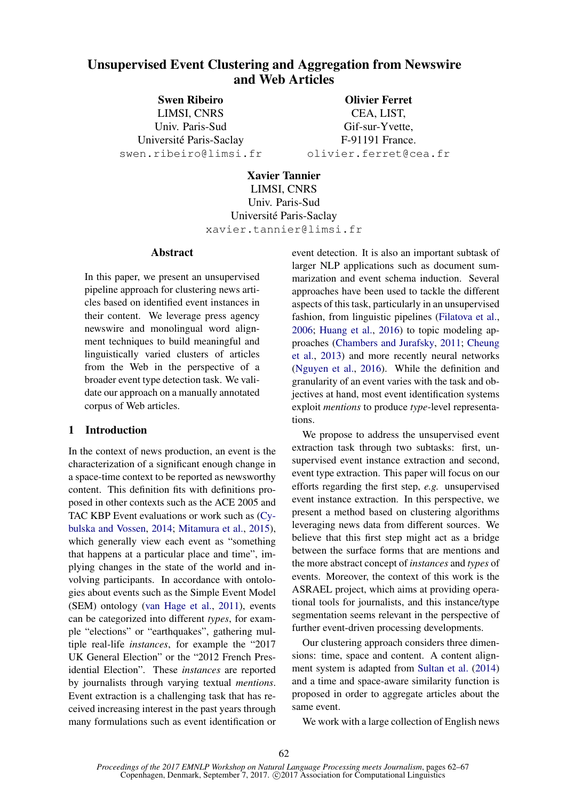# Unsupervised Event Clustering and Aggregation from Newswire and Web Articles

Swen Ribeiro LIMSI, CNRS Univ. Paris-Sud Universite Paris-Saclay ´ swen.ribeiro@limsi.fr

Olivier Ferret CEA, LIST, Gif-sur-Yvette, F-91191 France. olivier.ferret@cea.fr

Xavier Tannier LIMSI, CNRS Univ. Paris-Sud Universite Paris-Saclay ´ xavier.tannier@limsi.fr

#### Abstract

In this paper, we present an unsupervised pipeline approach for clustering news articles based on identified event instances in their content. We leverage press agency newswire and monolingual word alignment techniques to build meaningful and linguistically varied clusters of articles from the Web in the perspective of a broader event type detection task. We validate our approach on a manually annotated corpus of Web articles.

# 1 Introduction

In the context of news production, an event is the characterization of a significant enough change in a space-time context to be reported as newsworthy content. This definition fits with definitions proposed in other contexts such as the ACE 2005 and TAC KBP Event evaluations or work such as (Cybulska and Vossen, 2014; Mitamura et al., 2015), which generally view each event as "something that happens at a particular place and time", implying changes in the state of the world and involving participants. In accordance with ontologies about events such as the Simple Event Model (SEM) ontology (van Hage et al., 2011), events can be categorized into different *types*, for example "elections" or "earthquakes", gathering multiple real-life *instances*, for example the "2017 UK General Election" or the "2012 French Presidential Election". These *instances* are reported by journalists through varying textual *mentions*. Event extraction is a challenging task that has received increasing interest in the past years through many formulations such as event identification or

event detection. It is also an important subtask of larger NLP applications such as document summarization and event schema induction. Several approaches have been used to tackle the different aspects of this task, particularly in an unsupervised fashion, from linguistic pipelines (Filatova et al., 2006; Huang et al., 2016) to topic modeling approaches (Chambers and Jurafsky, 2011; Cheung et al., 2013) and more recently neural networks (Nguyen et al., 2016). While the definition and granularity of an event varies with the task and objectives at hand, most event identification systems exploit *mentions* to produce *type*-level representations.

We propose to address the unsupervised event extraction task through two subtasks: first, unsupervised event instance extraction and second, event type extraction. This paper will focus on our efforts regarding the first step, *e.g.* unsupervised event instance extraction. In this perspective, we present a method based on clustering algorithms leveraging news data from different sources. We believe that this first step might act as a bridge between the surface forms that are mentions and the more abstract concept of *instances* and *types* of events. Moreover, the context of this work is the ASRAEL project, which aims at providing operational tools for journalists, and this instance/type segmentation seems relevant in the perspective of further event-driven processing developments.

Our clustering approach considers three dimensions: time, space and content. A content alignment system is adapted from Sultan et al. (2014) and a time and space-aware similarity function is proposed in order to aggregate articles about the same event.

We work with a large collection of English news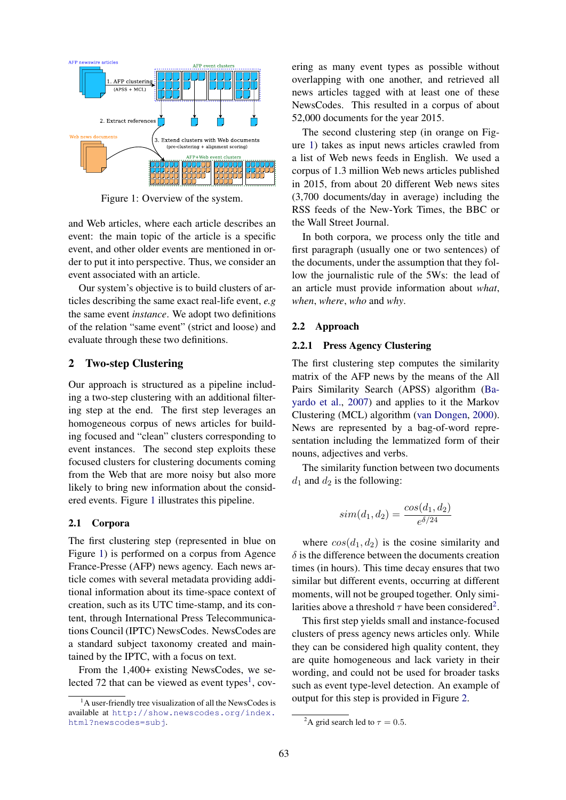

Figure 1: Overview of the system.

and Web articles, where each article describes an event: the main topic of the article is a specific event, and other older events are mentioned in order to put it into perspective. Thus, we consider an event associated with an article.

Our system's objective is to build clusters of articles describing the same exact real-life event, *e.g* the same event *instance*. We adopt two definitions of the relation "same event" (strict and loose) and evaluate through these two definitions.

### 2 Two-step Clustering

Our approach is structured as a pipeline including a two-step clustering with an additional filtering step at the end. The first step leverages an homogeneous corpus of news articles for building focused and "clean" clusters corresponding to event instances. The second step exploits these focused clusters for clustering documents coming from the Web that are more noisy but also more likely to bring new information about the considered events. Figure 1 illustrates this pipeline.

#### 2.1 Corpora

The first clustering step (represented in blue on Figure 1) is performed on a corpus from Agence France-Presse (AFP) news agency. Each news article comes with several metadata providing additional information about its time-space context of creation, such as its UTC time-stamp, and its content, through International Press Telecommunications Council (IPTC) NewsCodes. NewsCodes are a standard subject taxonomy created and maintained by the IPTC, with a focus on text.

From the 1,400+ existing NewsCodes, we selected 72 that can be viewed as event types<sup>1</sup>, covering as many event types as possible without overlapping with one another, and retrieved all news articles tagged with at least one of these NewsCodes. This resulted in a corpus of about 52,000 documents for the year 2015.

The second clustering step (in orange on Figure 1) takes as input news articles crawled from a list of Web news feeds in English. We used a corpus of 1.3 million Web news articles published in 2015, from about 20 different Web news sites (3,700 documents/day in average) including the RSS feeds of the New-York Times, the BBC or the Wall Street Journal.

In both corpora, we process only the title and first paragraph (usually one or two sentences) of the documents, under the assumption that they follow the journalistic rule of the 5Ws: the lead of an article must provide information about *what*, *when*, *where*, *who* and *why*.

#### 2.2 Approach

#### 2.2.1 Press Agency Clustering

The first clustering step computes the similarity matrix of the AFP news by the means of the All Pairs Similarity Search (APSS) algorithm (Bayardo et al., 2007) and applies to it the Markov Clustering (MCL) algorithm (van Dongen, 2000). News are represented by a bag-of-word representation including the lemmatized form of their nouns, adjectives and verbs.

The similarity function between two documents  $d_1$  and  $d_2$  is the following:

$$
sim(d_1, d_2) = \frac{cos(d_1, d_2)}{e^{\delta/24}}
$$

where  $cos(d_1, d_2)$  is the cosine similarity and  $\delta$  is the difference between the documents creation times (in hours). This time decay ensures that two similar but different events, occurring at different moments, will not be grouped together. Only similarities above a threshold  $\tau$  have been considered<sup>2</sup>.

This first step yields small and instance-focused clusters of press agency news articles only. While they can be considered high quality content, they are quite homogeneous and lack variety in their wording, and could not be used for broader tasks such as event type-level detection. An example of output for this step is provided in Figure 2.

 $<sup>1</sup>A$  user-friendly tree visualization of all the NewsCodes is</sup> available at http://show.newscodes.org/index. html?newscodes=subj.

<sup>&</sup>lt;sup>2</sup>A grid search led to  $\tau = 0.5$ .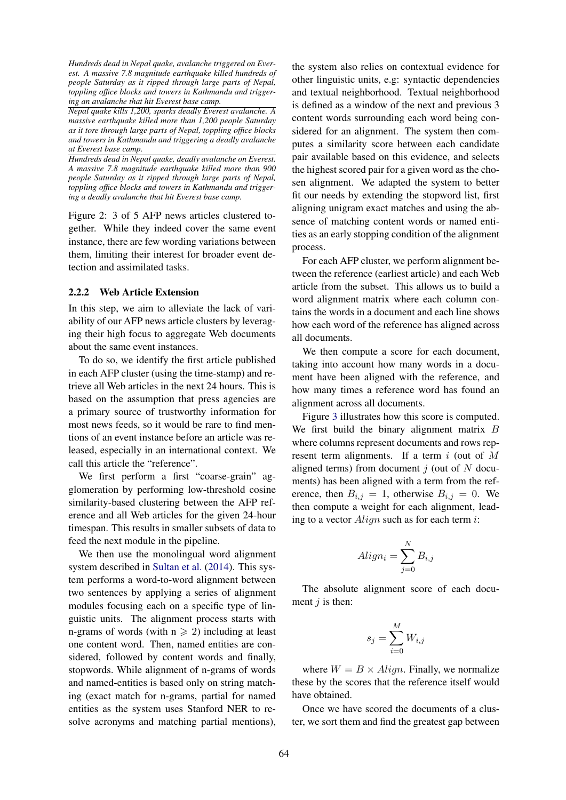*Hundreds dead in Nepal quake, avalanche triggered on Everest. A massive 7.8 magnitude earthquake killed hundreds of people Saturday as it ripped through large parts of Nepal, toppling office blocks and towers in Kathmandu and triggering an avalanche that hit Everest base camp.*

*Nepal quake kills 1,200, sparks deadly Everest avalanche. A massive earthquake killed more than 1,200 people Saturday as it tore through large parts of Nepal, toppling office blocks and towers in Kathmandu and triggering a deadly avalanche at Everest base camp.*

*Hundreds dead in Nepal quake, deadly avalanche on Everest. A massive 7.8 magnitude earthquake killed more than 900 people Saturday as it ripped through large parts of Nepal, toppling office blocks and towers in Kathmandu and triggering a deadly avalanche that hit Everest base camp.*

Figure 2: 3 of 5 AFP news articles clustered together. While they indeed cover the same event instance, there are few wording variations between them, limiting their interest for broader event detection and assimilated tasks.

### 2.2.2 Web Article Extension

In this step, we aim to alleviate the lack of variability of our AFP news article clusters by leveraging their high focus to aggregate Web documents about the same event instances.

To do so, we identify the first article published in each AFP cluster (using the time-stamp) and retrieve all Web articles in the next 24 hours. This is based on the assumption that press agencies are a primary source of trustworthy information for most news feeds, so it would be rare to find mentions of an event instance before an article was released, especially in an international context. We call this article the "reference".

We first perform a first "coarse-grain" agglomeration by performing low-threshold cosine similarity-based clustering between the AFP reference and all Web articles for the given 24-hour timespan. This results in smaller subsets of data to feed the next module in the pipeline.

We then use the monolingual word alignment system described in Sultan et al. (2014). This system performs a word-to-word alignment between two sentences by applying a series of alignment modules focusing each on a specific type of linguistic units. The alignment process starts with n-grams of words (with  $n \ge 2$ ) including at least one content word. Then, named entities are considered, followed by content words and finally, stopwords. While alignment of n-grams of words and named-entities is based only on string matching (exact match for n-grams, partial for named entities as the system uses Stanford NER to resolve acronyms and matching partial mentions), the system also relies on contextual evidence for other linguistic units, e.g: syntactic dependencies and textual neighborhood. Textual neighborhood is defined as a window of the next and previous 3 content words surrounding each word being considered for an alignment. The system then computes a similarity score between each candidate pair available based on this evidence, and selects the highest scored pair for a given word as the chosen alignment. We adapted the system to better fit our needs by extending the stopword list, first aligning unigram exact matches and using the absence of matching content words or named entities as an early stopping condition of the alignment process.

For each AFP cluster, we perform alignment between the reference (earliest article) and each Web article from the subset. This allows us to build a word alignment matrix where each column contains the words in a document and each line shows how each word of the reference has aligned across all documents.

We then compute a score for each document, taking into account how many words in a document have been aligned with the reference, and how many times a reference word has found an alignment across all documents.

Figure 3 illustrates how this score is computed. We first build the binary alignment matrix  $B$ where columns represent documents and rows represent term alignments. If a term  $i$  (out of  $M$ aligned terms) from document  $j$  (out of N documents) has been aligned with a term from the reference, then  $B_{i,j} = 1$ , otherwise  $B_{i,j} = 0$ . We then compute a weight for each alignment, leading to a vector  $Aliqn$  such as for each term i:

$$
A lign_i = \sum_{j=0}^{N} B_{i,j}
$$

The absolute alignment score of each document  $j$  is then:

$$
s_j = \sum_{i=0}^{M} W_{i,j}
$$

where  $W = B \times Align$ . Finally, we normalize these by the scores that the reference itself would have obtained.

Once we have scored the documents of a cluster, we sort them and find the greatest gap between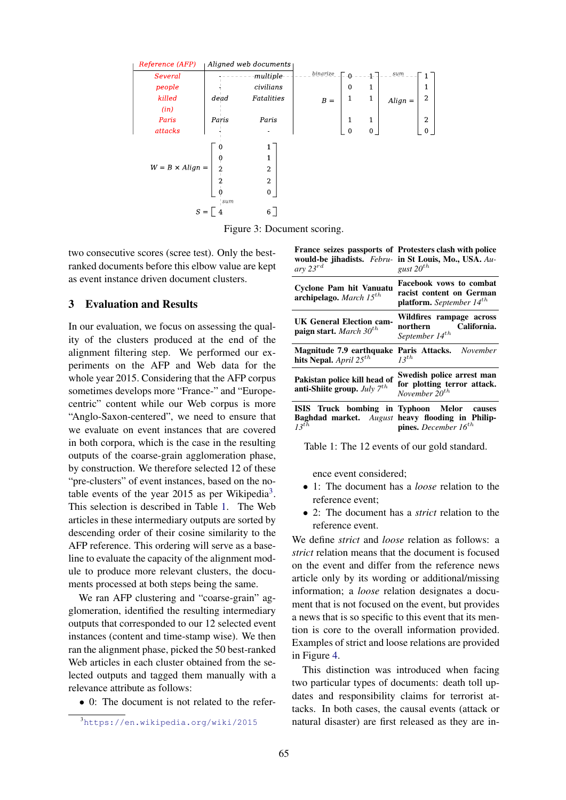

Figure 3: Document scoring.

two consecutive scores (scree test). Only the bestranked documents before this elbow value are kept as event instance driven document clusters.

#### 3 Evaluation and Results

In our evaluation, we focus on assessing the quality of the clusters produced at the end of the alignment filtering step. We performed our experiments on the AFP and Web data for the whole year 2015. Considering that the AFP corpus sometimes develops more "France-" and "Europecentric" content while our Web corpus is more "Anglo-Saxon-centered", we need to ensure that we evaluate on event instances that are covered in both corpora, which is the case in the resulting outputs of the coarse-grain agglomeration phase, by construction. We therefore selected 12 of these "pre-clusters" of event instances, based on the notable events of the year 2015 as per Wikipedia<sup>3</sup>. This selection is described in Table 1. The Web articles in these intermediary outputs are sorted by descending order of their cosine similarity to the AFP reference. This ordering will serve as a baseline to evaluate the capacity of the alignment module to produce more relevant clusters, the documents processed at both steps being the same.

We ran AFP clustering and "coarse-grain" agglomeration, identified the resulting intermediary outputs that corresponded to our 12 selected event instances (content and time-stamp wise). We then ran the alignment phase, picked the 50 best-ranked Web articles in each cluster obtained from the selected outputs and tagged them manually with a relevance attribute as follows:

• 0: The document is not related to the refer-

France seizes passports of Protesters clash with police would-be jihadists. *Febru-*in St Louis, Mo., USA. *Auary 23*rd *gust 20*th

| $\mathbf{u}$ , $\mathbf{v}$                                             | Facebook vows to combat<br>racist content on German<br><b>platform.</b> September $14^{th}$                                        |  |  |  |
|-------------------------------------------------------------------------|------------------------------------------------------------------------------------------------------------------------------------|--|--|--|
| Cyclone Pam hit Vanuatu<br>archipelago. March $15^{th}$                 |                                                                                                                                    |  |  |  |
| <b>UK General Election cam-</b><br>paign start. March $30^{th}$         | Wildfires rampage across<br>northern California.<br>September 14 <sup>th</sup>                                                     |  |  |  |
| hits Nepal. April $25^{th}$                                             | <b>Magnitude 7.9 earthquake Paris Attacks.</b> November<br>$13^{th}$                                                               |  |  |  |
| Pakistan police kill head of<br>anti-Shiite group. <i>July</i> $7^{th}$ | Swedish police arrest man<br>for plotting terror attack.<br>November $20^{th}$                                                     |  |  |  |
| $13^{th}$                                                               | ISIS Truck bombing in Typhoon Melor causes<br>Baghdad market. August heavy flooding in Philip-<br><b>pines.</b> December $16^{th}$ |  |  |  |

Table 1: The 12 events of our gold standard.

ence event considered;

- 1: The document has a *loose* relation to the reference event;
- 2: The document has a *strict* relation to the reference event.

We define *strict* and *loose* relation as follows: a *strict* relation means that the document is focused on the event and differ from the reference news article only by its wording or additional/missing information; a *loose* relation designates a document that is not focused on the event, but provides a news that is so specific to this event that its mention is core to the overall information provided. Examples of strict and loose relations are provided in Figure 4.

This distinction was introduced when facing two particular types of documents: death toll updates and responsibility claims for terrorist attacks. In both cases, the causal events (attack or natural disaster) are first released as they are in-

<sup>3</sup>https://en.wikipedia.org/wiki/2015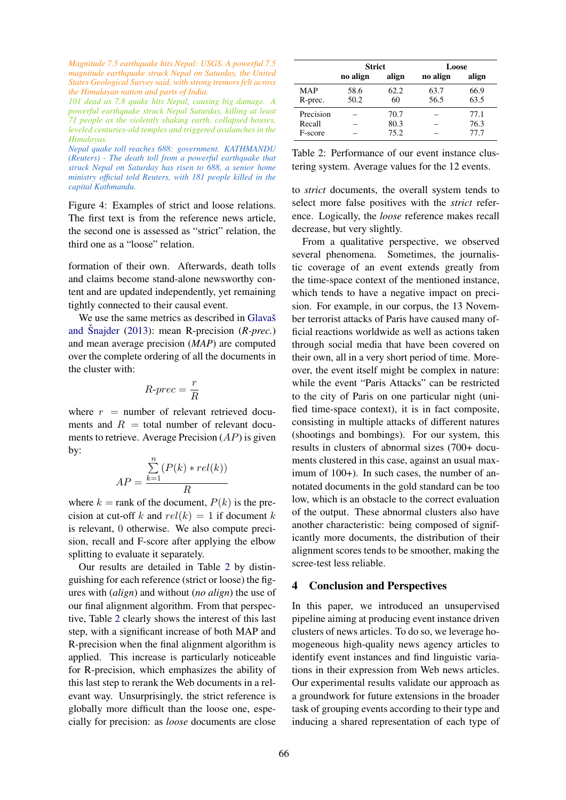*Magnitude 7.5 earthquake hits Nepal: USGS. A powerful 7.5 magnitude earthquake struck Nepal on Saturday, the United States Geological Survey said, with strong tremors felt across the Himalayan nation and parts of India.*

*101 dead as 7.8 quake hits Nepal, causing big damage. A powerful earthquake struck Nepal Saturday, killing at least 71 people as the violently shaking earth, collapsed houses, leveled centuries-old temples and triggered avalanches in the Himalayas.*

*Nepal quake toll reaches 688: government. KATHMANDU (Reuters) - The death toll from a powerful earthquake that struck Nepal on Saturday has risen to 688, a senior home ministry official told Reuters, with 181 people killed in the capital Kathmandu.*

Figure 4: Examples of strict and loose relations. The first text is from the reference news article, the second one is assessed as "strict" relation, the third one as a "loose" relation.

formation of their own. Afterwards, death tolls and claims become stand-alone newsworthy content and are updated independently, yet remaining tightly connected to their causal event.

We use the same metrics as described in Glavaš and Snajder  $(2013)$ : mean R-precision  $(R\text{-}prec.)$ and mean average precision (*MAP*) are computed over the complete ordering of all the documents in the cluster with:

$$
R\text{-}prec = \frac{r}{R}
$$

where  $r =$  number of relevant retrieved documents and  $R =$  total number of relevant documents to retrieve. Average Precision  $(AP)$  is given by:

$$
AP = \frac{\sum_{k=1}^{n} (P(k) * rel(k))}{R}
$$

where  $k =$  rank of the document,  $P(k)$  is the precision at cut-off k and  $rel(k) = 1$  if document k is relevant, 0 otherwise. We also compute precision, recall and F-score after applying the elbow splitting to evaluate it separately.

Our results are detailed in Table 2 by distinguishing for each reference (strict or loose) the figures with (*align*) and without (*no align*) the use of our final alignment algorithm. From that perspective, Table 2 clearly shows the interest of this last step, with a significant increase of both MAP and R-precision when the final alignment algorithm is applied. This increase is particularly noticeable for R-precision, which emphasizes the ability of this last step to rerank the Web documents in a relevant way. Unsurprisingly, the strict reference is globally more difficult than the loose one, especially for precision: as *loose* documents are close

|            | <b>Strict</b> |       | Loose    |       |
|------------|---------------|-------|----------|-------|
|            | no align      | align | no align | align |
| <b>MAP</b> | 58.6          | 62.2  | 63.7     | 66.9  |
| R-prec.    | 50.2          | 60    | 56.5     | 63.5  |
| Precision  |               | 70.7  |          | 77.1  |
| Recall     |               | 80.3  |          | 76.3  |
| F-score    |               | 75.2  |          | 77.7  |

| Table 2: Performance of our event instance clus- |  |  |
|--------------------------------------------------|--|--|
| tering system. Average values for the 12 events. |  |  |

to *strict* documents, the overall system tends to select more false positives with the *strict* reference. Logically, the *loose* reference makes recall decrease, but very slightly.

From a qualitative perspective, we observed several phenomena. Sometimes, the journalistic coverage of an event extends greatly from the time-space context of the mentioned instance, which tends to have a negative impact on precision. For example, in our corpus, the 13 November terrorist attacks of Paris have caused many official reactions worldwide as well as actions taken through social media that have been covered on their own, all in a very short period of time. Moreover, the event itself might be complex in nature: while the event "Paris Attacks" can be restricted to the city of Paris on one particular night (unified time-space context), it is in fact composite, consisting in multiple attacks of different natures (shootings and bombings). For our system, this results in clusters of abnormal sizes (700+ documents clustered in this case, against an usual maximum of 100+). In such cases, the number of annotated documents in the gold standard can be too low, which is an obstacle to the correct evaluation of the output. These abnormal clusters also have another characteristic: being composed of significantly more documents, the distribution of their alignment scores tends to be smoother, making the scree-test less reliable.

### 4 Conclusion and Perspectives

In this paper, we introduced an unsupervised pipeline aiming at producing event instance driven clusters of news articles. To do so, we leverage homogeneous high-quality news agency articles to identify event instances and find linguistic variations in their expression from Web news articles. Our experimental results validate our approach as a groundwork for future extensions in the broader task of grouping events according to their type and inducing a shared representation of each type of